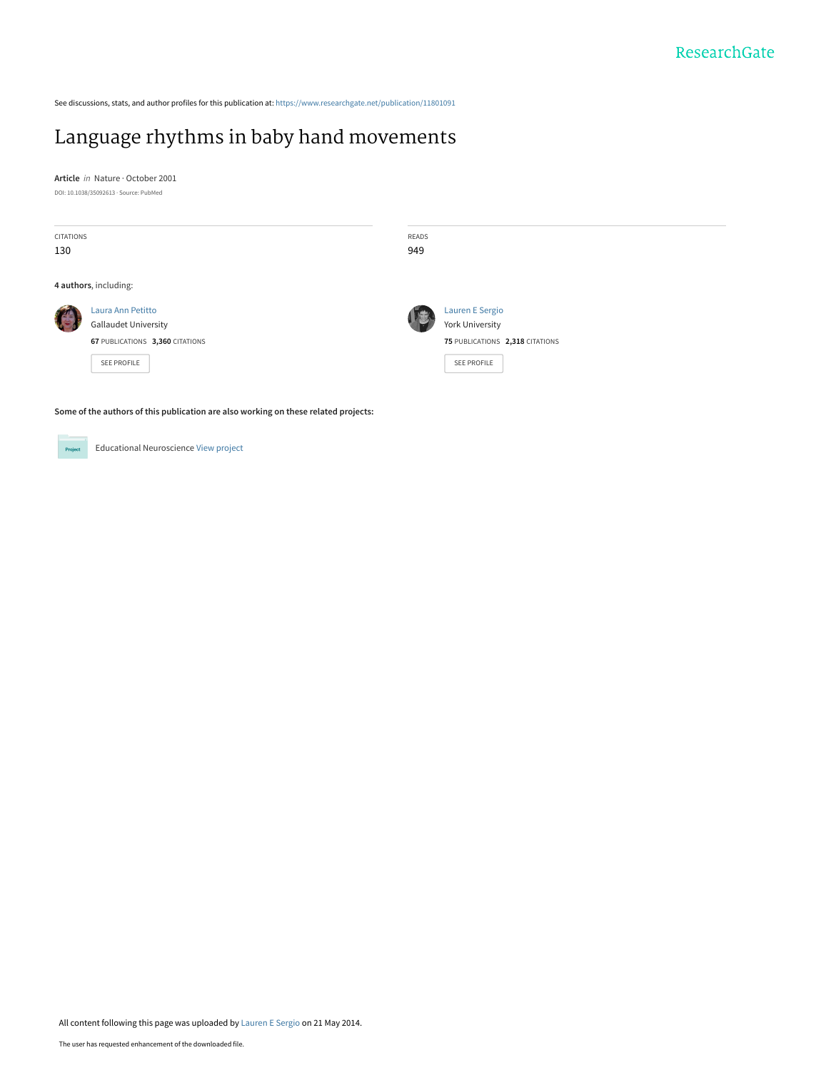See discussions, stats, and author profiles for this publication at: [https://www.researchgate.net/publication/11801091](https://www.researchgate.net/publication/11801091_Language_rhythms_in_baby_hand_movements?enrichId=rgreq-a0b183c7ecdd9a9d18466c1100680489-XXX&enrichSource=Y292ZXJQYWdlOzExODAxMDkxO0FTOjk5MTMwMTgxNDIzMTI5QDE0MDA2NDU4ODU4NDk%3D&el=1_x_2&_esc=publicationCoverPdf)

## [Language rhythms in baby hand movements](https://www.researchgate.net/publication/11801091_Language_rhythms_in_baby_hand_movements?enrichId=rgreq-a0b183c7ecdd9a9d18466c1100680489-XXX&enrichSource=Y292ZXJQYWdlOzExODAxMDkxO0FTOjk5MTMwMTgxNDIzMTI5QDE0MDA2NDU4ODU4NDk%3D&el=1_x_3&_esc=publicationCoverPdf)

**Article** in Nature · October 2001 DOI: 10.1038/35092613 · Source: PubMed

| <b>CITATIONS</b><br>130                                                             |                                                                                                           | READS<br>949 |                                                                                                           |  |  |  |  |
|-------------------------------------------------------------------------------------|-----------------------------------------------------------------------------------------------------------|--------------|-----------------------------------------------------------------------------------------------------------|--|--|--|--|
| 4 authors, including:                                                               |                                                                                                           |              |                                                                                                           |  |  |  |  |
|                                                                                     | Laura Ann Petitto<br><b>Gallaudet University</b><br>67 PUBLICATIONS 3,360 CITATIONS<br><b>SEE PROFILE</b> |              | <b>Lauren E Sergio</b><br><b>York University</b><br>75 PUBLICATIONS 2,318 CITATIONS<br><b>SEE PROFILE</b> |  |  |  |  |
| Some of the authors of this publication are also working on these related projects: |                                                                                                           |              |                                                                                                           |  |  |  |  |

Educational Neuroscience [View project](https://www.researchgate.net/project/Educational-Neuroscience-3?enrichId=rgreq-a0b183c7ecdd9a9d18466c1100680489-XXX&enrichSource=Y292ZXJQYWdlOzExODAxMDkxO0FTOjk5MTMwMTgxNDIzMTI5QDE0MDA2NDU4ODU4NDk%3D&el=1_x_9&_esc=publicationCoverPdf) Project

All content following this page was uploaded by [Lauren E Sergio](https://www.researchgate.net/profile/Lauren_Sergio?enrichId=rgreq-a0b183c7ecdd9a9d18466c1100680489-XXX&enrichSource=Y292ZXJQYWdlOzExODAxMDkxO0FTOjk5MTMwMTgxNDIzMTI5QDE0MDA2NDU4ODU4NDk%3D&el=1_x_10&_esc=publicationCoverPdf) on 21 May 2014.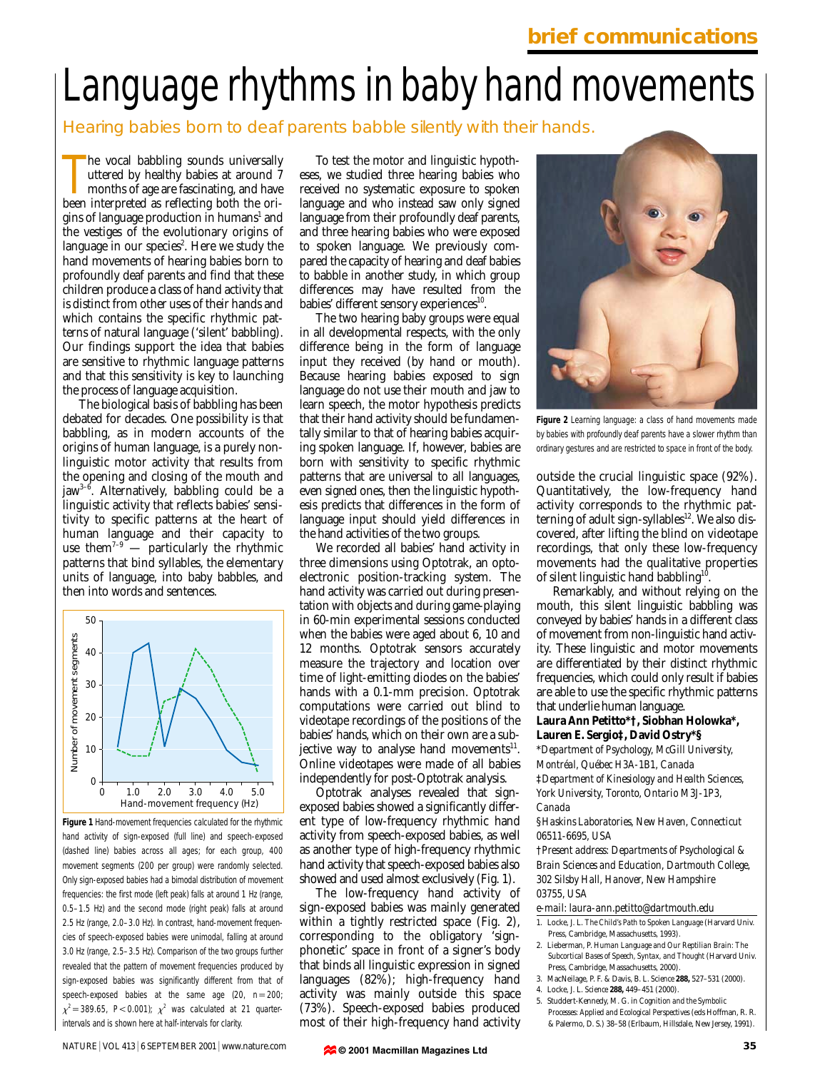# Language rhythms in baby hand movements

### Hearing babies born to deaf parents babble silently with their hands.

The vocal babbling sounds universally uttered by healthy babies at around 7 months of age are fascinating, and have been interpreted as reflecting both the orihe vocal babbling sounds universally uttered by healthy babies at around 7 months of age are fascinating, and have gins of language production in humans<sup>1</sup> and the vestiges of the evolutionary origins of language in our species<sup>2</sup>. Here we study the hand movements of hearing babies born to profoundly deaf parents and find that these children produce a class of hand activity that is distinct from other uses of their hands and which contains the specific rhythmic patterns of natural language ('silent' babbling). Our findings support the idea that babies are sensitive to rhythmic language patterns and that this sensitivity is key to launching the process of language acquisition.

The biological basis of babbling has been debated for decades. One possibility is that babbling, as in modern accounts of the origins of human language, is a purely nonlinguistic motor activity that results from the opening and closing of the mouth and jaw<sup>3-6</sup>. Alternatively, babbling could be a linguistic activity that reflects babies' sensitivity to specific patterns at the heart of human language and their capacity to use them<sup> $7-9$ </sup> — particularly the rhythmic patterns that bind syllables, the elementary units of language, into baby babbles, and then into words and sentences.



**Figure 1** Hand-movement frequencies calculated for the rhythmic hand activity of sign-exposed (full line) and speech-exposed (dashed line) babies across all ages; for each group, 400 movement segments (200 per group) were randomly selected. Only sign-exposed babies had a bimodal distribution of movement frequencies: the first mode (left peak) falls at around 1 Hz (range, 0.5–1.5 Hz) and the second mode (right peak) falls at around 2.5 Hz (range, 2.0–3.0 Hz). In contrast, hand-movement frequencies of speech-exposed babies were unimodal, falling at around 3.0 Hz (range, 2.5–3.5 Hz). Comparison of the two groups further revealed that the pattern of movement frequencies produced by sign-exposed babies was significantly different from that of speech-exposed babies at the same age  $(20, n=200)$  $\chi^2$  = 389.65, *P*<0.001);  $\chi^2$  was calculated at 21 quarterintervals and is shown here at half-intervals for clarity.

To test the motor and linguistic hypotheses, we studied three hearing babies who received no systematic exposure to spoken language and who instead saw only signed language from their profoundly deaf parents, and three hearing babies who were exposed to spoken language. We previously compared the capacity of hearing and deaf babies to babble in another study, in which group differences may have resulted from the babies' different sensory experiences<sup>10</sup>.

The two hearing baby groups were equal in all developmental respects, with the only difference being in the form of language input they received (by hand or mouth). Because hearing babies exposed to sign language do not use their mouth and jaw to learn speech, the motor hypothesis predicts that their hand activity should be fundamentally similar to that of hearing babies acquiring spoken language. If, however, babies are born with sensitivity to specific rhythmic patterns that are universal to all languages, even signed ones, then the linguistic hypothesis predicts that differences in the form of language input should yield differences in the hand activities of the two groups.

We recorded all babies' hand activity in three dimensions using Optotrak, an optoelectronic position-tracking system. The hand activity was carried out during presentation with objects and during game-playing in 60-min experimental sessions conducted when the babies were aged about 6, 10 and 12 months. Optotrak sensors accurately measure the trajectory and location over time of light-emitting diodes on the babies' hands with a 0.1-mm precision. Optotrak computations were carried out blind to videotape recordings of the positions of the babies' hands, which on their own are a subjective way to analyse hand movements $^{11}$ . Online videotapes were made of all babies independently for post-Optotrak analysis.

Optotrak analyses revealed that signexposed babies showed a significantly different type of low-frequency rhythmic hand activity from speech-exposed babies, as well as another type of high-frequency rhythmic hand activity that speech-exposed babies also showed and used almost exclusively (Fig. 1).

The low-frequency hand activity of sign-exposed babies was mainly generated within a tightly restricted space (Fig. 2), corresponding to the obligatory 'signphonetic' space in front of a signer's body that binds all linguistic expression in signed languages (82%); high-frequency hand activity was mainly outside this space (73%). Speech-exposed babies produced most of their high-frequency hand activity



**Figure 2** Learning language: a class of hand movements made by babies with profoundly deaf parents have a slower rhythm than ordinary gestures and are restricted to space in front of the body.

outside the crucial linguistic space (92%). Quantitatively, the low-frequency hand activity corresponds to the rhythmic patterning of adult sign-syllables<sup>12</sup>. We also discovered, after lifting the blind on videotape recordings, that only these low-frequency movements had the qualitative properties of silent linguistic hand babbling<sup>10</sup>

Remarkably, and without relying on the mouth, this silent linguistic babbling was conveyed by babies' hands in a different class of movement from non-linguistic hand activity. These linguistic and motor movements are differentiated by their distinct rhythmic frequencies, which could only result if babies are able to use the specific rhythmic patterns that underlie human language.

#### **Laura Ann Petitto\*†, Siobhan Holowka\*, Lauren E. Sergio‡, David Ostry\*§**

\**Department of Psychology, McGill University, Montréal, Québec H3A-1B1, Canada* ‡*Department of Kinesiology and Health Sciences, York University, Toronto, Ontario M3J-1P3, Canada*

§*Haskins Laboratories, New Haven, Connecticut 06511-6695, USA*

†*Present address: Departments of Psychological & Brain Sciences and Education, Dartmouth College, 302 Silsby Hall, Hanover, New Hampshire 03755, USA*

#### *e-mail: laura-ann.petitto@dartmouth.edu*

- 1. Locke, J. L. *The Child's Path to Spoken Language* (Harvard Univ. Press, Cambridge, Massachusetts, 1993).
- 2. Lieberman, P. *Human Language and Our Reptilian Brain: The Subcortical Bases of Speech, Syntax, and Thought* (Harvard Univ. Press, Cambridge, Massachusetts, 2000).
- 3. MacNeilage, P. F. & Davis, B. L. *Science* **288,** 527–531 (2000). 4. Locke, J. L. *Science* **288,** 449–451 (2000).
	-
- 5. Studdert-Kennedy, M. G. in *Cognition and the Symbolic Processes: Applied and Ecological Perspectives* (eds Hoffman, R. R. & Palermo, D. S.) 38–58 (Erlbaum, Hillsdale, New Jersey, 1991).